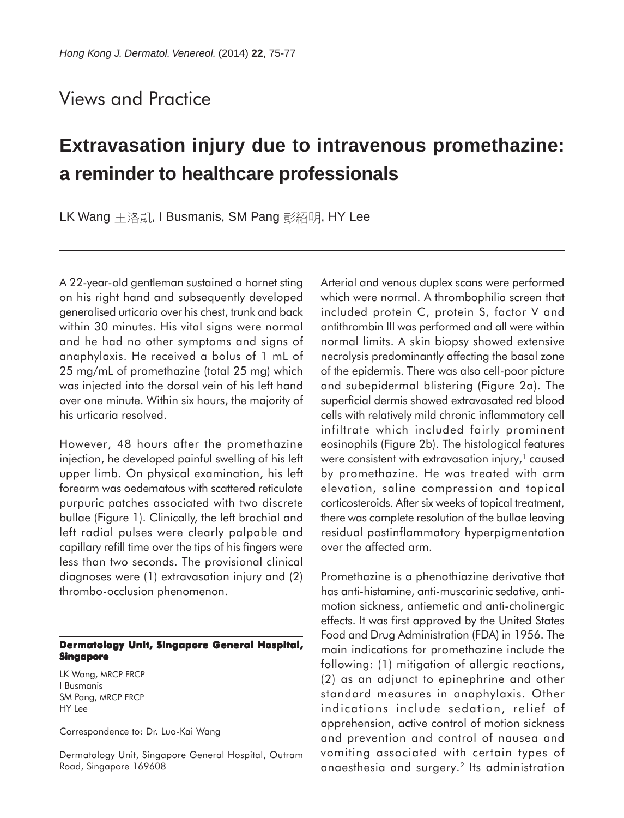## Views and Practice

## **Extravasation injury due to intravenous promethazine: a reminder to healthcare professionals**

LK Wang 王洛凱, I Busmanis, SM Pang 彭紹明, HY Lee

A 22-year-old gentleman sustained a hornet sting on his right hand and subsequently developed generalised urticaria over his chest, trunk and back within 30 minutes. His vital signs were normal and he had no other symptoms and signs of anaphylaxis. He received a bolus of 1 mL of 25 mg/mL of promethazine (total 25 mg) which was injected into the dorsal vein of his left hand over one minute. Within six hours, the majority of his urticaria resolved.

However, 48 hours after the promethazine injection, he developed painful swelling of his left upper limb. On physical examination, his left forearm was oedematous with scattered reticulate purpuric patches associated with two discrete bullae (Figure 1). Clinically, the left brachial and left radial pulses were clearly palpable and capillary refill time over the tips of his fingers were less than two seconds. The provisional clinical diagnoses were (1) extravasation injury and (2) thrombo-occlusion phenomenon.

## **Dermatology Unit, Singapore General Hospital, Singapore**

LK Wang, MRCP FRCP I Busmanis SM Pang, MRCP FRCP HY Lee

Correspondence to: Dr. Luo-Kai Wang

Dermatology Unit, Singapore General Hospital, Outram Road, Singapore 169608

Arterial and venous duplex scans were performed which were normal. A thrombophilia screen that included protein C, protein S, factor V and antithrombin III was performed and all were within normal limits. A skin biopsy showed extensive necrolysis predominantly affecting the basal zone of the epidermis. There was also cell-poor picture and subepidermal blistering (Figure 2a). The superficial dermis showed extravasated red blood cells with relatively mild chronic inflammatory cell infiltrate which included fairly prominent eosinophils (Figure 2b). The histological features were consistent with extravasation injury, $1$  caused by promethazine. He was treated with arm elevation, saline compression and topical corticosteroids. After six weeks of topical treatment, there was complete resolution of the bullae leaving residual postinflammatory hyperpigmentation over the affected arm.

Promethazine is a phenothiazine derivative that has anti-histamine, anti-muscarinic sedative, antimotion sickness, antiemetic and anti-cholinergic effects. It was first approved by the United States Food and Drug Administration (FDA) in 1956. The main indications for promethazine include the following: (1) mitigation of allergic reactions, (2) as an adjunct to epinephrine and other standard measures in anaphylaxis. Other indications include sedation, relief of apprehension, active control of motion sickness and prevention and control of nausea and vomiting associated with certain types of anaesthesia and surgery.2 Its administration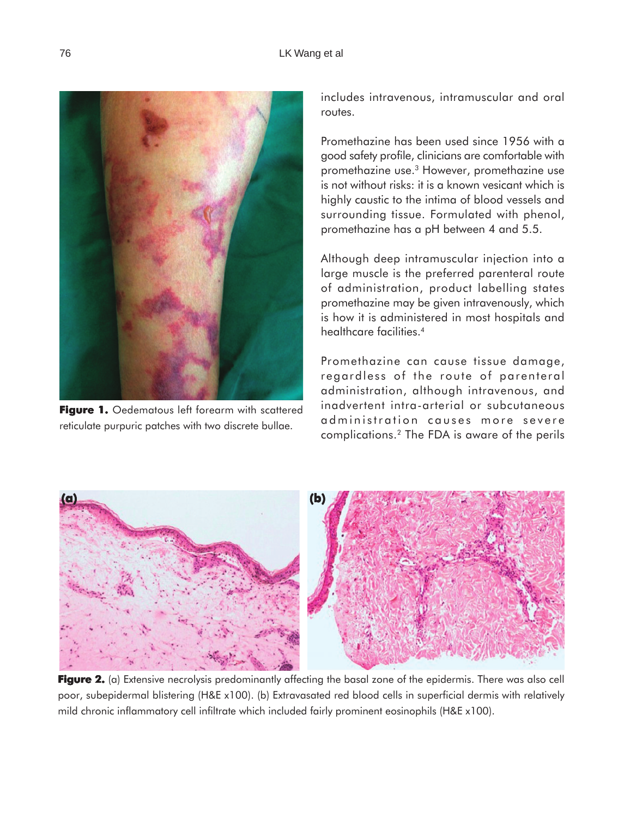

Figure 1. Oedematous left forearm with scattered reticulate purpuric patches with two discrete bullae.

includes intravenous, intramuscular and oral routes.

Promethazine has been used since 1956 with a good safety profile, clinicians are comfortable with promethazine use.3 However, promethazine use is not without risks: it is a known vesicant which is highly caustic to the intima of blood vessels and surrounding tissue. Formulated with phenol, promethazine has a pH between 4 and 5.5.

Although deep intramuscular injection into a large muscle is the preferred parenteral route of administration, product labelling states promethazine may be given intravenously, which is how it is administered in most hospitals and healthcare facilities.<sup>4</sup>

Promethazine can cause tissue damage, regardless of the route of parenteral administration, although intravenous, and inadvertent intra-arterial or subcutaneous administration causes more severe complications.2 The FDA is aware of the perils



Figure 2. (a) Extensive necrolysis predominantly affecting the basal zone of the epidermis. There was also cell poor, subepidermal blistering (H&E x100). (b) Extravasated red blood cells in superficial dermis with relatively mild chronic inflammatory cell infiltrate which included fairly prominent eosinophils (H&E x100).